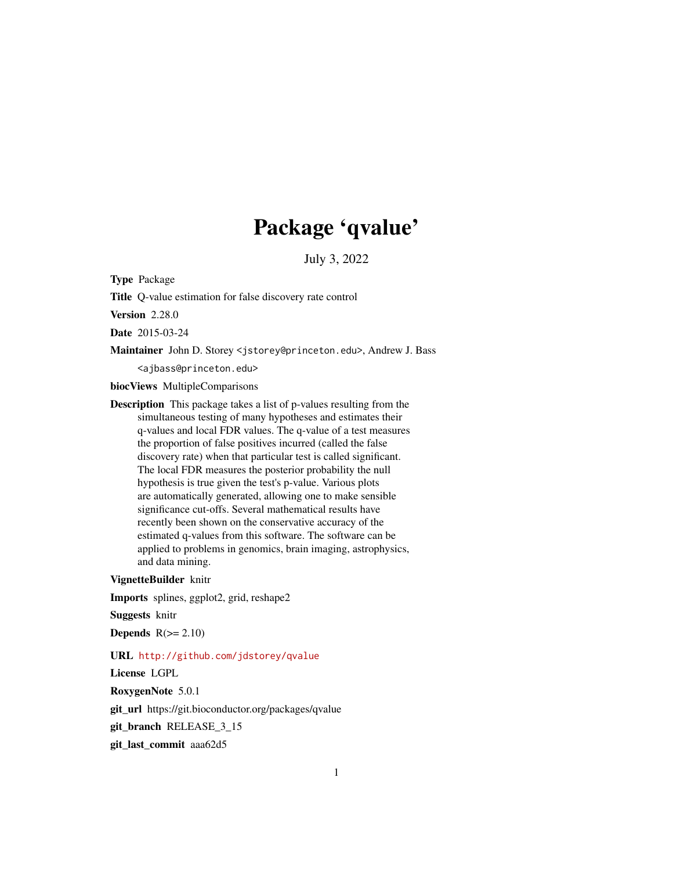# Package 'qvalue'

July 3, 2022

Type Package

Title Q-value estimation for false discovery rate control

Version 2.28.0

Date 2015-03-24

Maintainer John D. Storey <jstorey@princeton.edu>, Andrew J. Bass

<ajbass@princeton.edu>

biocViews MultipleComparisons

Description This package takes a list of p-values resulting from the simultaneous testing of many hypotheses and estimates their q-values and local FDR values. The q-value of a test measures the proportion of false positives incurred (called the false discovery rate) when that particular test is called significant. The local FDR measures the posterior probability the null hypothesis is true given the test's p-value. Various plots are automatically generated, allowing one to make sensible significance cut-offs. Several mathematical results have recently been shown on the conservative accuracy of the estimated q-values from this software. The software can be applied to problems in genomics, brain imaging, astrophysics, and data mining.

# VignetteBuilder knitr

Imports splines, ggplot2, grid, reshape2

Suggests knitr

Depends  $R(>= 2.10)$ 

#### URL <http://github.com/jdstorey/qvalue>

License LGPL

RoxygenNote 5.0.1

git\_url https://git.bioconductor.org/packages/qvalue

git\_branch RELEASE\_3\_15

git\_last\_commit aaa62d5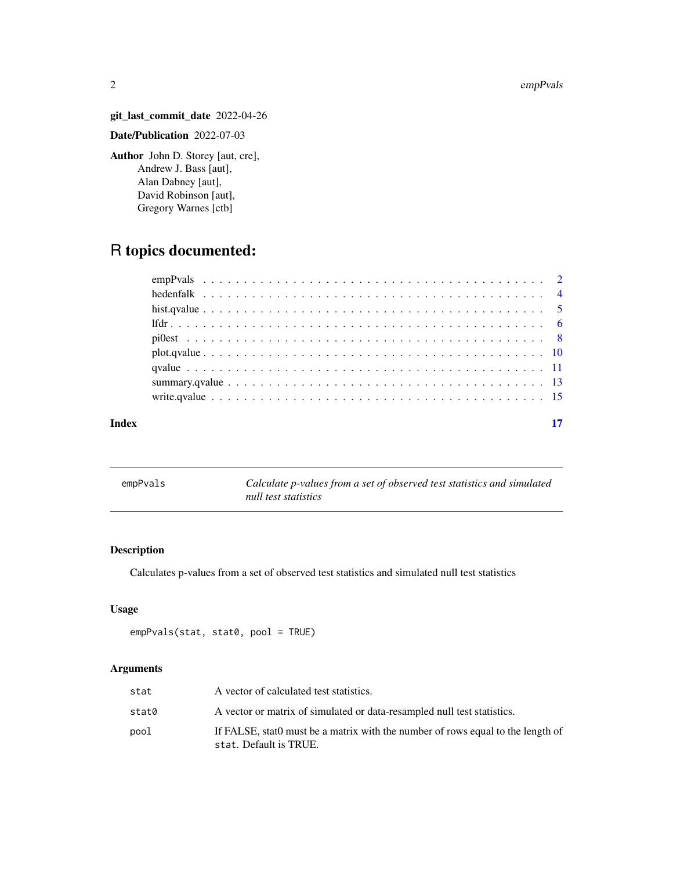#### 2 empPvals

# git\_last\_commit\_date 2022-04-26

# Date/Publication 2022-07-03

Author John D. Storey [aut, cre], Andrew J. Bass [aut], Alan Dabney [aut], David Robinson [aut], Gregory Warnes [ctb]

# R topics documented:

# **Index** [17](#page-16-0)

<span id="page-1-1"></span>

| empPvals | Calculate p-values from a set of observed test statistics and simulated |
|----------|-------------------------------------------------------------------------|
|          | null test statistics                                                    |

# Description

Calculates p-values from a set of observed test statistics and simulated null test statistics

# Usage

```
empPvals(stat, stat0, pool = TRUE)
```
# Arguments

| stat  | A vector of calculated test statistics.                                                                   |
|-------|-----------------------------------------------------------------------------------------------------------|
| stat0 | A vector or matrix of simulated or data-resampled null test statistics.                                   |
| pool  | If FALSE, stat0 must be a matrix with the number of rows equal to the length of<br>stat. Default is TRUE. |

<span id="page-1-0"></span>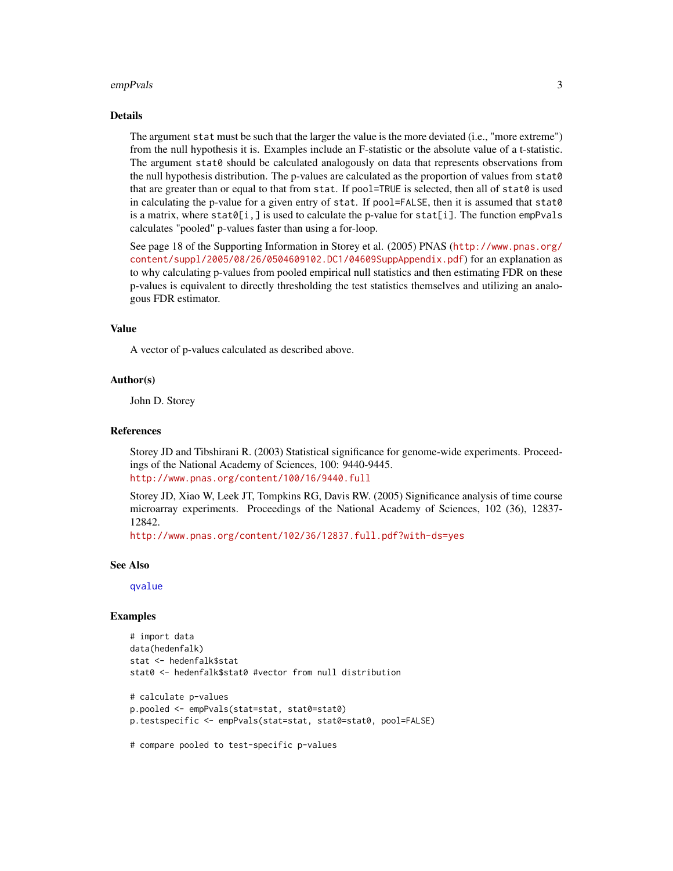#### <span id="page-2-0"></span>empPvals 3

# Details

The argument stat must be such that the larger the value is the more deviated (i.e., "more extreme") from the null hypothesis it is. Examples include an F-statistic or the absolute value of a t-statistic. The argument stat0 should be calculated analogously on data that represents observations from the null hypothesis distribution. The p-values are calculated as the proportion of values from stat0 that are greater than or equal to that from stat. If pool=TRUE is selected, then all of stat0 is used in calculating the p-value for a given entry of stat. If pool=FALSE, then it is assumed that stat0 is a matrix, where stat $\theta[i, ]$  is used to calculate the p-value for stat[i]. The function empPvals calculates "pooled" p-values faster than using a for-loop.

See page 18 of the Supporting Information in Storey et al. (2005) PNAS ([http://www.pnas.org/](http://www.pnas.org/content/suppl/2005/08/26/0504609102.DC1/04609SuppAppendix.pdf) [content/suppl/2005/08/26/0504609102.DC1/04609SuppAppendix.pdf](http://www.pnas.org/content/suppl/2005/08/26/0504609102.DC1/04609SuppAppendix.pdf)) for an explanation as to why calculating p-values from pooled empirical null statistics and then estimating FDR on these p-values is equivalent to directly thresholding the test statistics themselves and utilizing an analogous FDR estimator.

#### Value

A vector of p-values calculated as described above.

#### Author(s)

John D. Storey

#### References

Storey JD and Tibshirani R. (2003) Statistical significance for genome-wide experiments. Proceedings of the National Academy of Sciences, 100: 9440-9445. <http://www.pnas.org/content/100/16/9440.full>

Storey JD, Xiao W, Leek JT, Tompkins RG, Davis RW. (2005) Significance analysis of time course microarray experiments. Proceedings of the National Academy of Sciences, 102 (36), 12837- 12842.

<http://www.pnas.org/content/102/36/12837.full.pdf?with-ds=yes>

#### See Also

[qvalue](#page-10-1)

#### Examples

```
# import data
data(hedenfalk)
stat <- hedenfalk$stat
stat0 <- hedenfalk$stat0 #vector from null distribution
# calculate p-values
p.pooled <- empPvals(stat=stat, stat0=stat0)
p.testspecific <- empPvals(stat=stat, stat0=stat0, pool=FALSE)
```
# compare pooled to test-specific p-values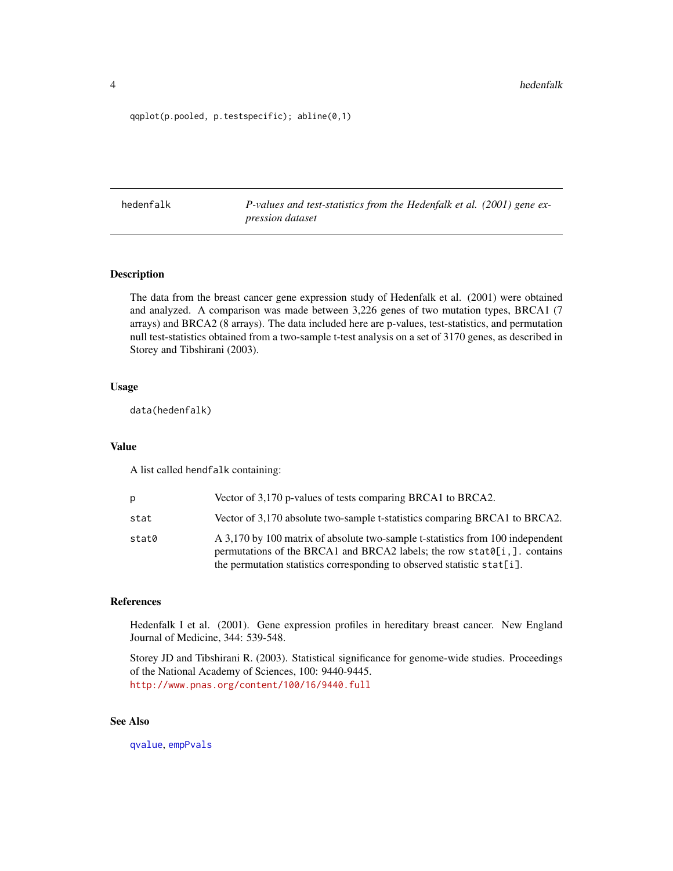<span id="page-3-0"></span>qqplot(p.pooled, p.testspecific); abline(0,1)

hedenfalk *P-values and test-statistics from the Hedenfalk et al. (2001) gene expression dataset*

# Description

The data from the breast cancer gene expression study of Hedenfalk et al. (2001) were obtained and analyzed. A comparison was made between 3,226 genes of two mutation types, BRCA1 (7 arrays) and BRCA2 (8 arrays). The data included here are p-values, test-statistics, and permutation null test-statistics obtained from a two-sample t-test analysis on a set of 3170 genes, as described in Storey and Tibshirani (2003).

# Usage

data(hedenfalk)

#### Value

A list called hendfalk containing:

| p     | Vector of 3,170 p-values of tests comparing BRCA1 to BRCA2.                                                                                                                                                                          |
|-------|--------------------------------------------------------------------------------------------------------------------------------------------------------------------------------------------------------------------------------------|
| stat  | Vector of 3,170 absolute two-sample t-statistics comparing BRCA1 to BRCA2.                                                                                                                                                           |
| stat0 | A 3,170 by 100 matrix of absolute two-sample t-statistics from 100 independent<br>permutations of the BRCA1 and BRCA2 labels; the row stat0[i,]. contains<br>the permutation statistics corresponding to observed statistic stat[i]. |

# References

Hedenfalk I et al. (2001). Gene expression profiles in hereditary breast cancer. New England Journal of Medicine, 344: 539-548.

Storey JD and Tibshirani R. (2003). Statistical significance for genome-wide studies. Proceedings of the National Academy of Sciences, 100: 9440-9445. <http://www.pnas.org/content/100/16/9440.full>

# See Also

[qvalue](#page-10-1), [empPvals](#page-1-1)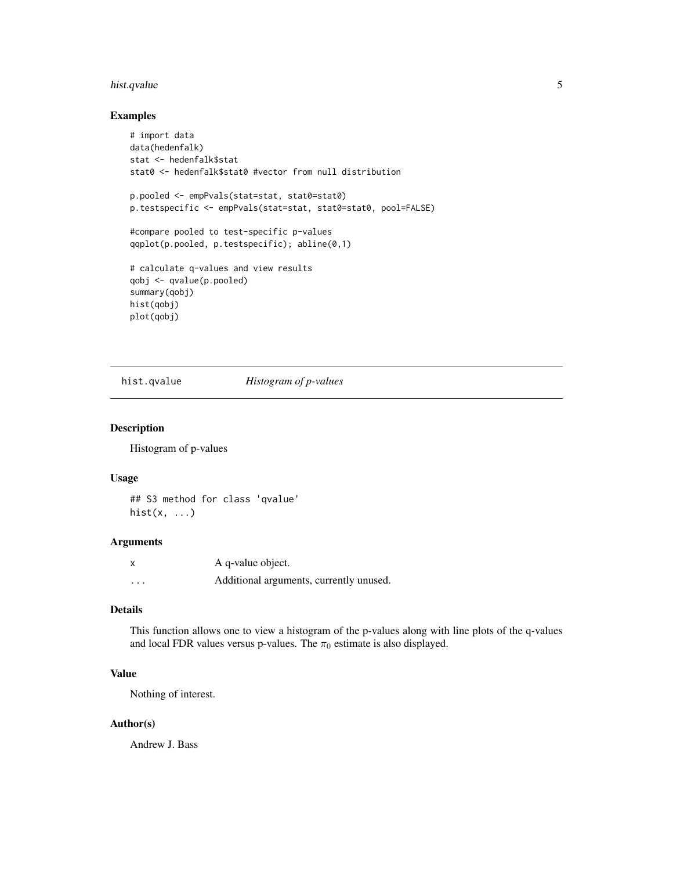# <span id="page-4-0"></span>hist.qvalue 5

# Examples

```
# import data
data(hedenfalk)
stat <- hedenfalk$stat
stat0 <- hedenfalk$stat0 #vector from null distribution
p.pooled <- empPvals(stat=stat, stat0=stat0)
p.testspecific <- empPvals(stat=stat, stat0=stat0, pool=FALSE)
#compare pooled to test-specific p-values
qqplot(p.pooled, p.testspecific); abline(0,1)
# calculate q-values and view results
qobj <- qvalue(p.pooled)
summary(qobj)
hist(qobj)
plot(qobj)
```
<span id="page-4-1"></span>hist.qvalue *Histogram of p-values*

# Description

Histogram of p-values

#### Usage

## S3 method for class 'qvalue' hist $(x, \ldots)$ 

#### Arguments

| X        | A q-value object.                       |
|----------|-----------------------------------------|
| $\cdots$ | Additional arguments, currently unused. |

# Details

This function allows one to view a histogram of the p-values along with line plots of the q-values and local FDR values versus p-values. The  $\pi_0$  estimate is also displayed.

#### Value

Nothing of interest.

# Author(s)

Andrew J. Bass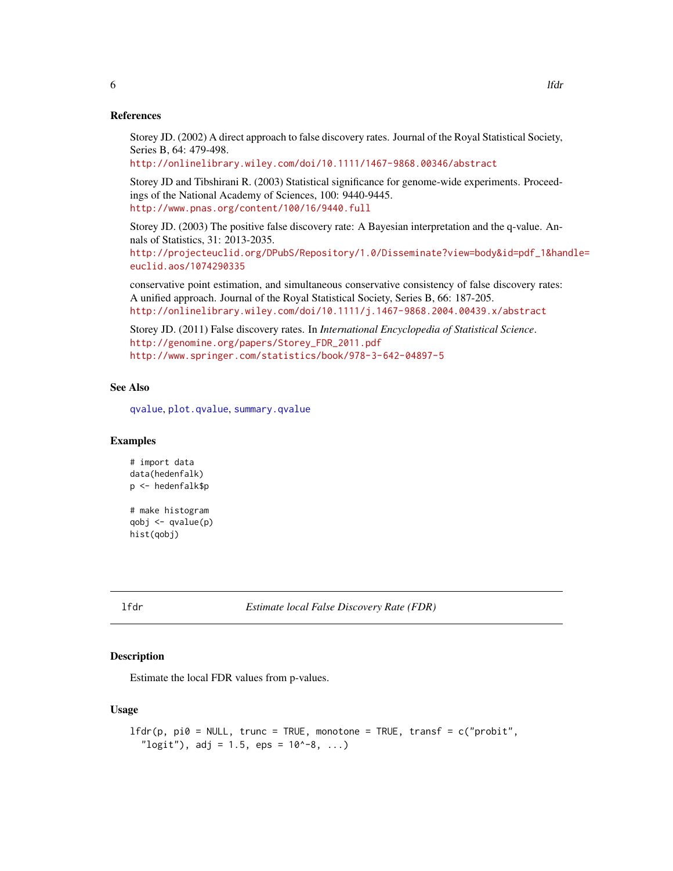#### References

Storey JD. (2002) A direct approach to false discovery rates. Journal of the Royal Statistical Society, Series B, 64: 479-498.

<http://onlinelibrary.wiley.com/doi/10.1111/1467-9868.00346/abstract>

Storey JD and Tibshirani R. (2003) Statistical significance for genome-wide experiments. Proceedings of the National Academy of Sciences, 100: 9440-9445. <http://www.pnas.org/content/100/16/9440.full>

Storey JD. (2003) The positive false discovery rate: A Bayesian interpretation and the q-value. Annals of Statistics, 31: 2013-2035.

[http://projecteuclid.org/DPubS/Repository/1.0/Disseminate?view=body&id=pdf\\_1&han](http://projecteuclid.org/DPubS/Repository/1.0/Disseminate?view=body&id=pdf_1&handle=euclid.aos/1074290335)dle= [euclid.aos/1074290335](http://projecteuclid.org/DPubS/Repository/1.0/Disseminate?view=body&id=pdf_1&handle=euclid.aos/1074290335)

conservative point estimation, and simultaneous conservative consistency of false discovery rates: A unified approach. Journal of the Royal Statistical Society, Series B, 66: 187-205. <http://onlinelibrary.wiley.com/doi/10.1111/j.1467-9868.2004.00439.x/abstract>

Storey JD. (2011) False discovery rates. In *International Encyclopedia of Statistical Science*. [http://genomine.org/papers/Storey\\_FDR\\_2011.pdf](http://genomine.org/papers/Storey_FDR_2011.pdf) <http://www.springer.com/statistics/book/978-3-642-04897-5>

# See Also

[qvalue](#page-10-1), [plot.qvalue](#page-9-1), [summary.qvalue](#page-12-1)

#### Examples

```
# import data
data(hedenfalk)
p <- hedenfalk$p
# make histogram
qobj \leq qvalue(p)hist(qobj)
```
<span id="page-5-1"></span>lfdr *Estimate local False Discovery Rate (FDR)*

#### **Description**

Estimate the local FDR values from p-values.

#### Usage

```
lfdr(p, pi0 = NULL, trunc = TRUE, monotone = TRUE, transf = c("probit","\log it"), adj = 1.5, eps = 10^-8, ...)
```
<span id="page-5-0"></span>6 lfdr yn 1900 a brenin ar y brenin ar y brenin ar y brenin ar y brenin ar y brenin ar y brenin ar y brenin ar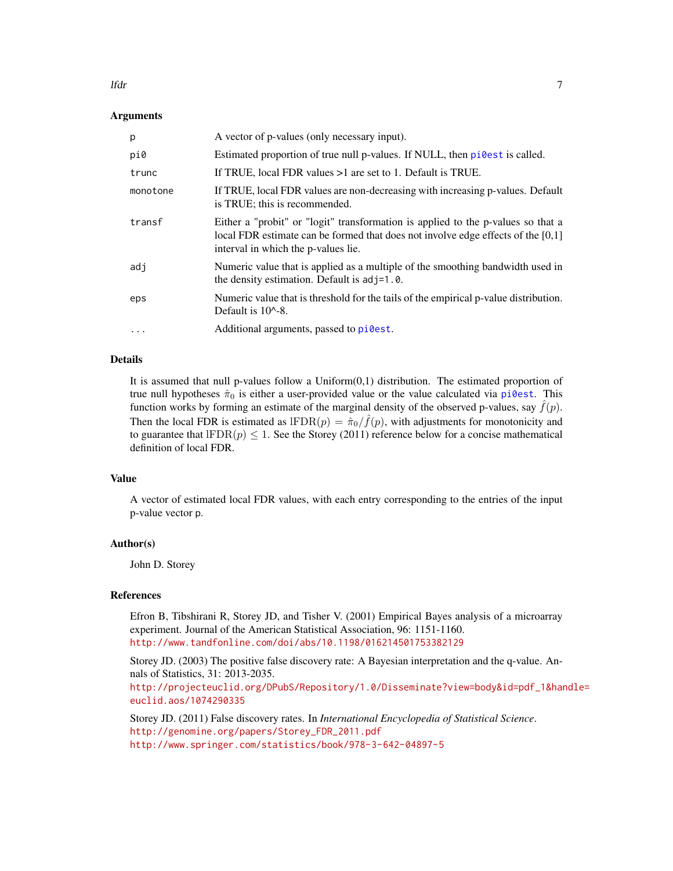#### <span id="page-6-0"></span>lfdr *7*

# Arguments

| p         | A vector of p-values (only necessary input).                                                                                                                                                                  |
|-----------|---------------------------------------------------------------------------------------------------------------------------------------------------------------------------------------------------------------|
| pi0       | Estimated proportion of true null p-values. If NULL, then pi@est is called.                                                                                                                                   |
| trunc     | If TRUE, local FDR values $>1$ are set to 1. Default is TRUE.                                                                                                                                                 |
| monotone  | If TRUE, local FDR values are non-decreasing with increasing p-values. Default<br>is TRUE; this is recommended.                                                                                               |
| transf    | Either a "probit" or "logit" transformation is applied to the p-values so that a<br>local FDR estimate can be formed that does not involve edge effects of the $[0,1]$<br>interval in which the p-values lie. |
| adj       | Numeric value that is applied as a multiple of the smoothing bandwidth used in<br>the density estimation. Default is $adj=1.0$ .                                                                              |
| eps       | Numeric value that is threshold for the tails of the empirical p-value distribution.<br>Default is $10^{\circ}$ -8.                                                                                           |
| $\ddotsc$ | Additional arguments, passed to pilest.                                                                                                                                                                       |

# Details

It is assumed that null p-values follow a Uniform(0,1) distribution. The estimated proportion of true null hypotheses  $\hat{\pi}_0$  is either a user-provided value or the value calculated via [pi0est](#page-7-1). This function works by forming an estimate of the marginal density of the observed p-values, say  $f(p)$ . Then the local FDR is estimated as  $IFDR(p) = \hat{\pi}_0 / \hat{f}(p)$ , with adjustments for monotonicity and to guarantee that  $IFDR(p) \le 1$ . See the Storey (2011) reference below for a concise mathematical definition of local FDR.

#### Value

A vector of estimated local FDR values, with each entry corresponding to the entries of the input p-value vector p.

# Author(s)

John D. Storey

#### References

Efron B, Tibshirani R, Storey JD, and Tisher V. (2001) Empirical Bayes analysis of a microarray experiment. Journal of the American Statistical Association, 96: 1151-1160. <http://www.tandfonline.com/doi/abs/10.1198/016214501753382129>

Storey JD. (2003) The positive false discovery rate: A Bayesian interpretation and the q-value. Annals of Statistics, 31: 2013-2035.

[http://projecteuclid.org/DPubS/Repository/1.0/Disseminate?view=body&id=pdf\\_1&han](http://projecteuclid.org/DPubS/Repository/1.0/Disseminate?view=body&id=pdf_1&handle=euclid.aos/1074290335)dle= [euclid.aos/1074290335](http://projecteuclid.org/DPubS/Repository/1.0/Disseminate?view=body&id=pdf_1&handle=euclid.aos/1074290335)

Storey JD. (2011) False discovery rates. In *International Encyclopedia of Statistical Science*. [http://genomine.org/papers/Storey\\_FDR\\_2011.pdf](http://genomine.org/papers/Storey_FDR_2011.pdf) <http://www.springer.com/statistics/book/978-3-642-04897-5>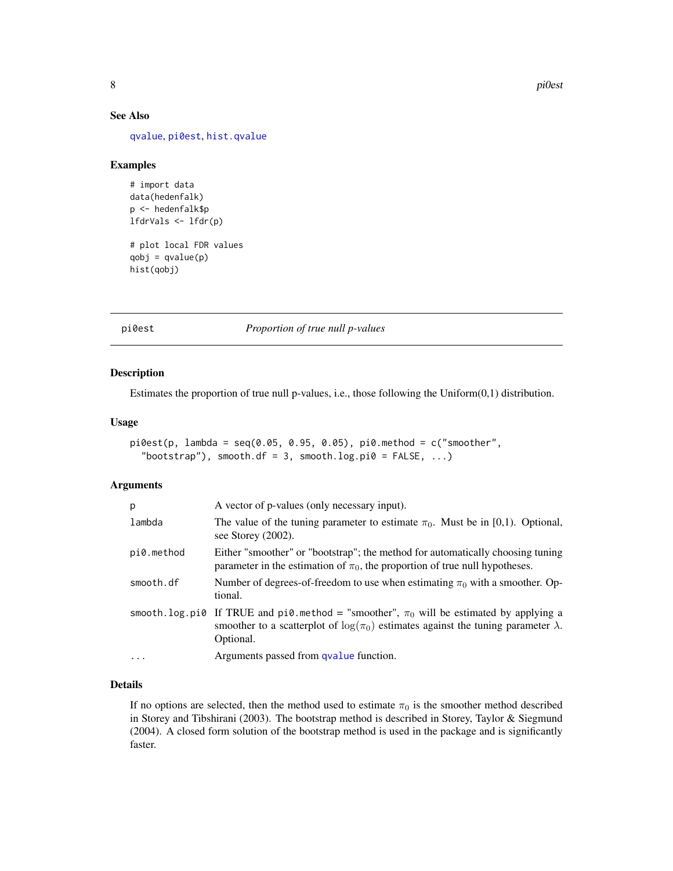<span id="page-7-0"></span>8 pi0est

# See Also

[qvalue](#page-10-1), [pi0est](#page-7-1), [hist.qvalue](#page-4-1)

#### Examples

```
# import data
data(hedenfalk)
p <- hedenfalk$p
lfdrVals <- lfdr(p)
# plot local FDR values
qobj = qvalue(p)hist(qobj)
```
<span id="page-7-1"></span>pi0est *Proportion of true null p-values*

#### Description

Estimates the proportion of true null p-values, i.e., those following the Uniform(0,1) distribution.

# Usage

```
pi0est(p, lambda = seq(0.05, 0.95, 0.05), pi0.method = c("smoother","bootstrap"), smooth.df = 3, smooth.log.pi0 = FALSE, ...)
```
# Arguments

| p          | A vector of p-values (only necessary input).                                                                                                                                                              |
|------------|-----------------------------------------------------------------------------------------------------------------------------------------------------------------------------------------------------------|
| lambda     | The value of the tuning parameter to estimate $\pi_0$ . Must be in [0,1]. Optional,<br>see Storey $(2002)$ .                                                                                              |
| pi0.method | Either "smoother" or "bootstrap"; the method for automatically choosing tuning<br>parameter in the estimation of $\pi_0$ , the proportion of true null hypotheses.                                        |
| smooth.df  | Number of degrees-of-freedom to use when estimating $\pi_0$ with a smoother. Op-<br>tional.                                                                                                               |
|            | smooth.log.pi0 If TRUE and pi0.method = "smoother", $\pi_0$ will be estimated by applying a<br>smoother to a scatterplot of $\log(\pi_0)$ estimates against the tuning parameter $\lambda$ .<br>Optional. |
| $\cdots$   | Arguments passed from qvalue function.                                                                                                                                                                    |

#### Details

If no options are selected, then the method used to estimate  $\pi_0$  is the smoother method described in Storey and Tibshirani (2003). The bootstrap method is described in Storey, Taylor & Siegmund (2004). A closed form solution of the bootstrap method is used in the package and is significantly faster.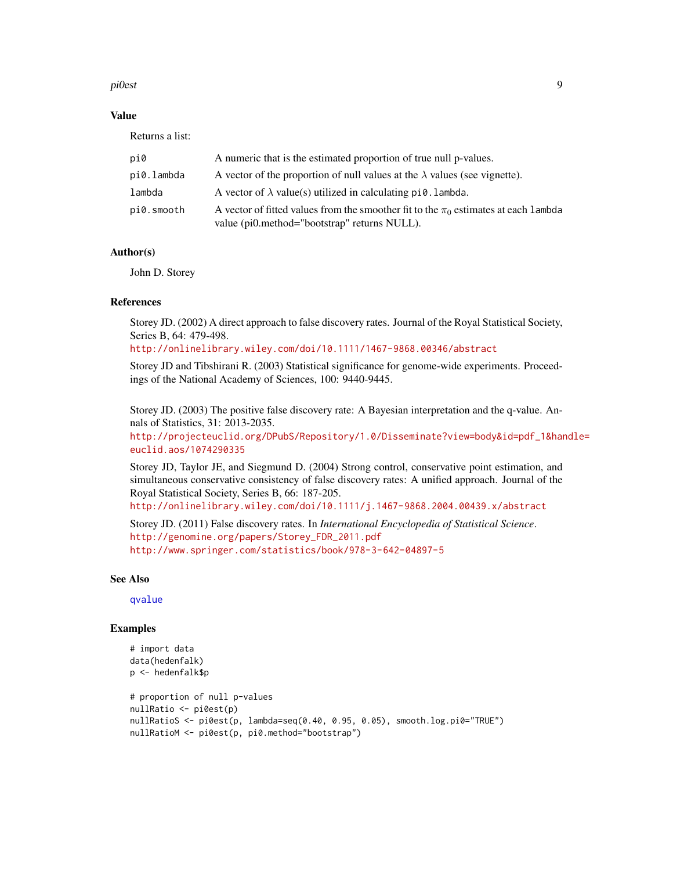#### <span id="page-8-0"></span>pi0est 9

# Value

Returns a list:

| pi0        | A numeric that is the estimated proportion of true null p-values.                                                                       |
|------------|-----------------------------------------------------------------------------------------------------------------------------------------|
| pi0.lambda | A vector of the proportion of null values at the $\lambda$ values (see vignette).                                                       |
| lambda     | A vector of $\lambda$ value(s) utilized in calculating $pi0$ . Lambda.                                                                  |
| pi0.smooth | A vector of fitted values from the smoother fit to the $\pi_0$ estimates at each lambda<br>value (pi0.method="bootstrap" returns NULL). |

# Author(s)

John D. Storey

#### References

Storey JD. (2002) A direct approach to false discovery rates. Journal of the Royal Statistical Society, Series B, 64: 479-498.

#### <http://onlinelibrary.wiley.com/doi/10.1111/1467-9868.00346/abstract>

Storey JD and Tibshirani R. (2003) Statistical significance for genome-wide experiments. Proceedings of the National Academy of Sciences, 100: 9440-9445.

Storey JD. (2003) The positive false discovery rate: A Bayesian interpretation and the q-value. Annals of Statistics, 31: 2013-2035.

[http://projecteuclid.org/DPubS/Repository/1.0/Disseminate?view=body&id=pdf\\_1&han](http://projecteuclid.org/DPubS/Repository/1.0/Disseminate?view=body&id=pdf_1&handle=euclid.aos/1074290335)dle= [euclid.aos/1074290335](http://projecteuclid.org/DPubS/Repository/1.0/Disseminate?view=body&id=pdf_1&handle=euclid.aos/1074290335)

Storey JD, Taylor JE, and Siegmund D. (2004) Strong control, conservative point estimation, and simultaneous conservative consistency of false discovery rates: A unified approach. Journal of the Royal Statistical Society, Series B, 66: 187-205.

<http://onlinelibrary.wiley.com/doi/10.1111/j.1467-9868.2004.00439.x/abstract>

Storey JD. (2011) False discovery rates. In *International Encyclopedia of Statistical Science*. [http://genomine.org/papers/Storey\\_FDR\\_2011.pdf](http://genomine.org/papers/Storey_FDR_2011.pdf) <http://www.springer.com/statistics/book/978-3-642-04897-5>

#### See Also

[qvalue](#page-10-1)

#### Examples

```
# import data
data(hedenfalk)
p <- hedenfalk$p
# proportion of null p-values
nullRatio <- pi0est(p)
nullRatioS <- pi0est(p, lambda=seq(0.40, 0.95, 0.05), smooth.log.pi0="TRUE")
nullRatioM <- pi0est(p, pi0.method="bootstrap")
```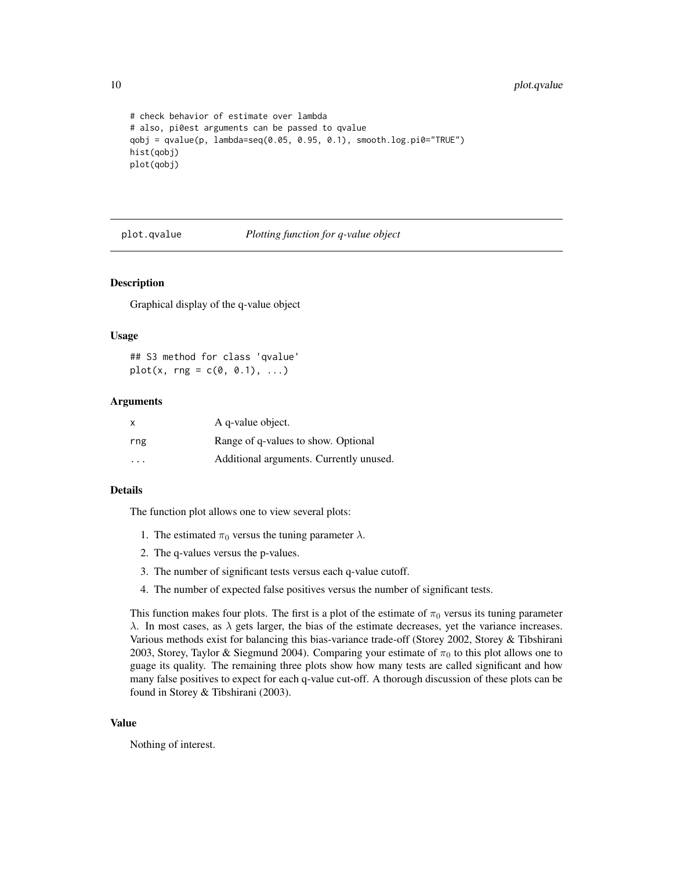```
# check behavior of estimate over lambda
# also, pi0est arguments can be passed to qvalue
qobj = qvalue(p, lambda=seq(0.05, 0.95, 0.1), smooth.log.pi0="TRUE")
hist(qobj)
plot(qobj)
```
<span id="page-9-1"></span>plot.qvalue *Plotting function for q-value object*

#### Description

Graphical display of the q-value object

#### Usage

## S3 method for class 'qvalue'  $plot(x, rng = c(0, 0.1), ...)$ 

#### Arguments

| $\times$ | A q-value object.                       |
|----------|-----------------------------------------|
| rng      | Range of q-values to show. Optional     |
| .        | Additional arguments. Currently unused. |

#### Details

The function plot allows one to view several plots:

- 1. The estimated  $\pi_0$  versus the tuning parameter  $\lambda$ .
- 2. The q-values versus the p-values.
- 3. The number of significant tests versus each q-value cutoff.
- 4. The number of expected false positives versus the number of significant tests.

This function makes four plots. The first is a plot of the estimate of  $\pi_0$  versus its tuning parameter  $\lambda$ . In most cases, as  $\lambda$  gets larger, the bias of the estimate decreases, yet the variance increases. Various methods exist for balancing this bias-variance trade-off (Storey 2002, Storey & Tibshirani 2003, Storey, Taylor & Siegmund 2004). Comparing your estimate of  $\pi_0$  to this plot allows one to guage its quality. The remaining three plots show how many tests are called significant and how many false positives to expect for each q-value cut-off. A thorough discussion of these plots can be found in Storey & Tibshirani (2003).

#### Value

Nothing of interest.

<span id="page-9-0"></span>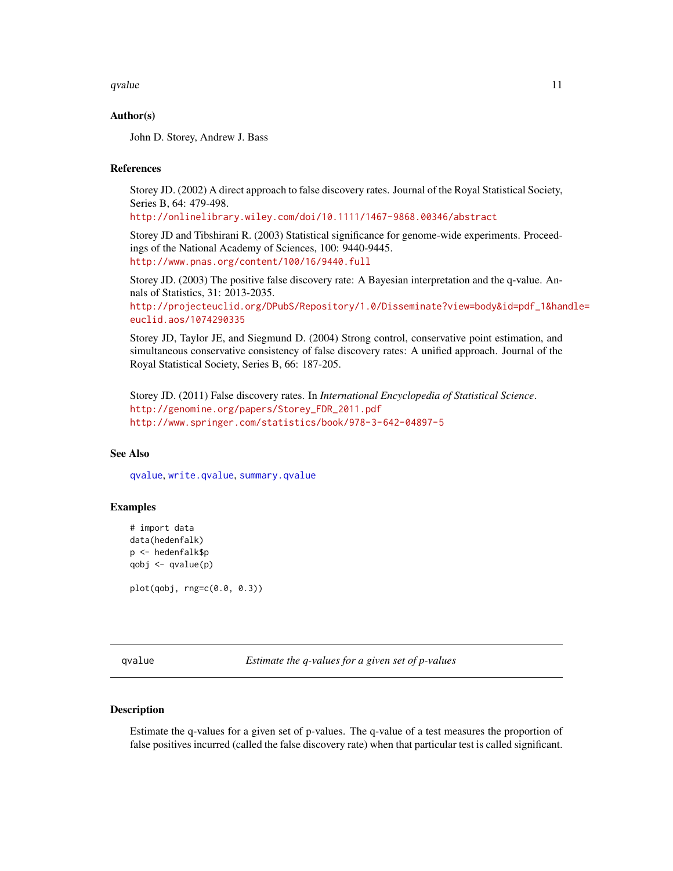<span id="page-10-0"></span>qvalue  $\sim$  11

#### Author(s)

John D. Storey, Andrew J. Bass

# References

Storey JD. (2002) A direct approach to false discovery rates. Journal of the Royal Statistical Society, Series B, 64: 479-498.

<http://onlinelibrary.wiley.com/doi/10.1111/1467-9868.00346/abstract>

Storey JD and Tibshirani R. (2003) Statistical significance for genome-wide experiments. Proceedings of the National Academy of Sciences, 100: 9440-9445. <http://www.pnas.org/content/100/16/9440.full>

Storey JD. (2003) The positive false discovery rate: A Bayesian interpretation and the q-value. Annals of Statistics, 31: 2013-2035.

[http://projecteuclid.org/DPubS/Repository/1.0/Disseminate?view=body&id=pdf\\_1&han](http://projecteuclid.org/DPubS/Repository/1.0/Disseminate?view=body&id=pdf_1&handle=euclid.aos/1074290335)dle= [euclid.aos/1074290335](http://projecteuclid.org/DPubS/Repository/1.0/Disseminate?view=body&id=pdf_1&handle=euclid.aos/1074290335)

Storey JD, Taylor JE, and Siegmund D. (2004) Strong control, conservative point estimation, and simultaneous conservative consistency of false discovery rates: A unified approach. Journal of the Royal Statistical Society, Series B, 66: 187-205.

Storey JD. (2011) False discovery rates. In *International Encyclopedia of Statistical Science*. [http://genomine.org/papers/Storey\\_FDR\\_2011.pdf](http://genomine.org/papers/Storey_FDR_2011.pdf) <http://www.springer.com/statistics/book/978-3-642-04897-5>

# See Also

[qvalue](#page-10-1), [write.qvalue](#page-14-1), [summary.qvalue](#page-12-1)

# Examples

```
# import data
data(hedenfalk)
p <- hedenfalk$p
qobj <- qvalue(p)
```
plot(qobj, rng=c(0.0, 0.3))

<span id="page-10-1"></span>qvalue *Estimate the q-values for a given set of p-values*

#### Description

Estimate the q-values for a given set of p-values. The q-value of a test measures the proportion of false positives incurred (called the false discovery rate) when that particular test is called significant.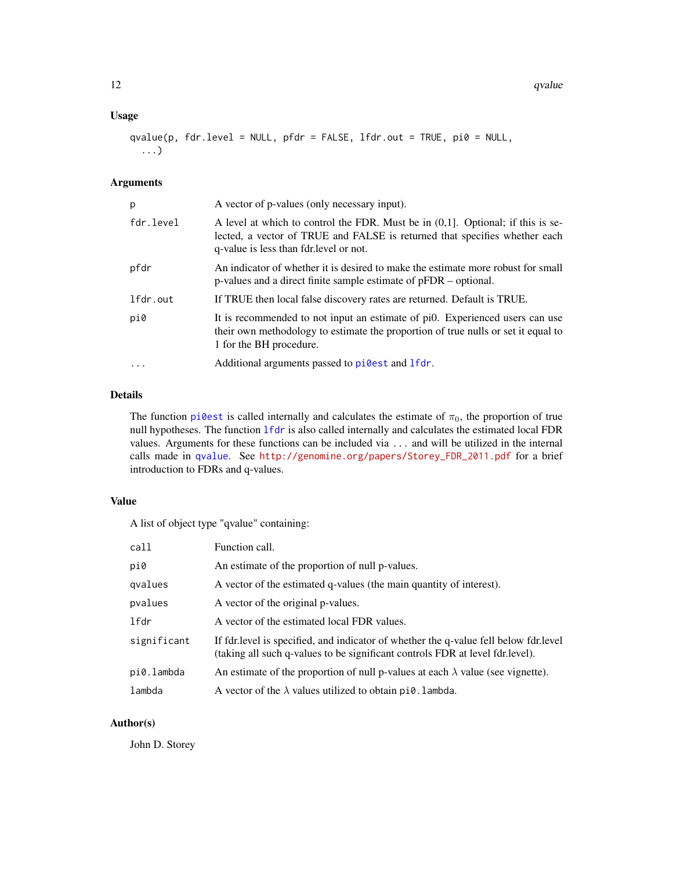# <span id="page-11-0"></span>Usage

qvalue(p, fdr.level = NULL, pfdr = FALSE, lfdr.out = TRUE, pi0 = NULL, ...)

# Arguments

| p         | A vector of p-values (only necessary input).                                                                                                                                                                |
|-----------|-------------------------------------------------------------------------------------------------------------------------------------------------------------------------------------------------------------|
| fdr.level | A level at which to control the FDR. Must be in $(0,1]$ . Optional; if this is se-<br>lected, a vector of TRUE and FALSE is returned that specifies whether each<br>q-value is less than fdr. level or not. |
| pfdr      | An indicator of whether it is desired to make the estimate more robust for small<br>$p$ -values and a direct finite sample estimate of $pFDR -$ optional.                                                   |
| lfdr.out  | If TRUE then local false discovery rates are returned. Default is TRUE.                                                                                                                                     |
| pi0       | It is recommended to not input an estimate of pi0. Experienced users can use<br>their own methodology to estimate the proportion of true nulls or set it equal to<br>1 for the BH procedure.                |
| $\cdot$   | Additional arguments passed to pillest and lfdr.                                                                                                                                                            |

# Details

The function [pi0est](#page-7-1) is called internally and calculates the estimate of  $\pi_0$ , the proportion of true null hypotheses. The function [lfdr](#page-5-1) is also called internally and calculates the estimated local FDR values. Arguments for these functions can be included via ... and will be utilized in the internal calls made in [qvalue](#page-10-1). See [http://genomine.org/papers/Storey\\_FDR\\_2011.pdf](http://genomine.org/papers/Storey_FDR_2011.pdf) for a brief introduction to FDRs and q-values.

# Value

A list of object type "qvalue" containing:

| call        | Function call.                                                                                                                                                           |
|-------------|--------------------------------------------------------------------------------------------------------------------------------------------------------------------------|
| pi0         | An estimate of the proportion of null p-values.                                                                                                                          |
| qvalues     | A vector of the estimated q-values (the main quantity of interest).                                                                                                      |
| pvalues     | A vector of the original p-values.                                                                                                                                       |
| lfdr        | A vector of the estimated local FDR values.                                                                                                                              |
| significant | If fdr. level is specified, and indicator of whether the q-value fell below fdr. level<br>(taking all such q-values to be significant controls FDR at level fdr. level). |
| pi0.lambda  | An estimate of the proportion of null p-values at each $\lambda$ value (see vignette).                                                                                   |
| lambda      | A vector of the $\lambda$ values utilized to obtain pi0. lambda.                                                                                                         |

# Author(s)

John D. Storey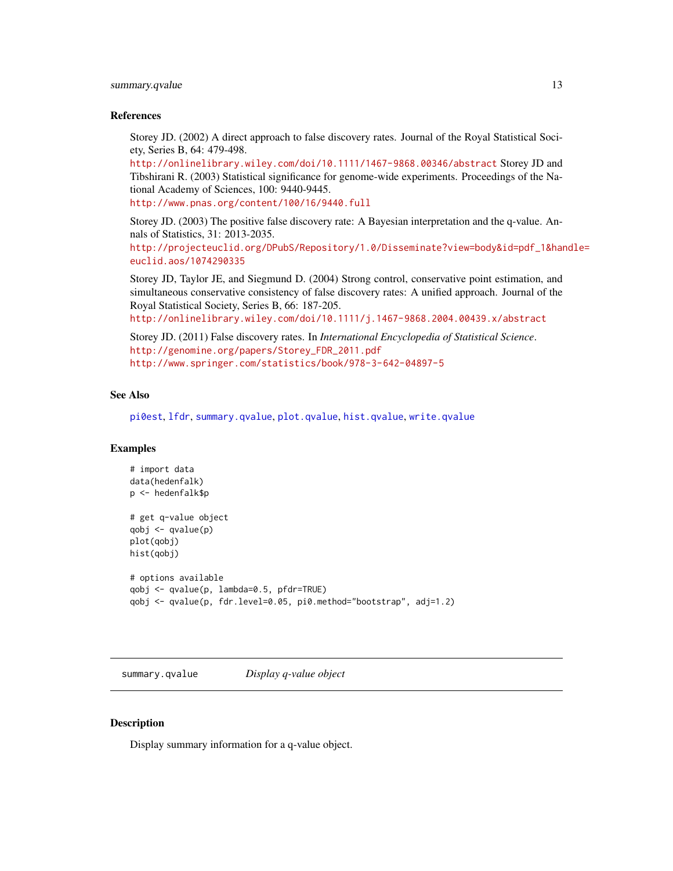# <span id="page-12-0"></span>summary.qvalue 13

#### References

Storey JD. (2002) A direct approach to false discovery rates. Journal of the Royal Statistical Society, Series B, 64: 479-498.

<http://onlinelibrary.wiley.com/doi/10.1111/1467-9868.00346/abstract> Storey JD and Tibshirani R. (2003) Statistical significance for genome-wide experiments. Proceedings of the National Academy of Sciences, 100: 9440-9445.

<http://www.pnas.org/content/100/16/9440.full>

Storey JD. (2003) The positive false discovery rate: A Bayesian interpretation and the q-value. Annals of Statistics, 31: 2013-2035.

[http://projecteuclid.org/DPubS/Repository/1.0/Disseminate?view=body&id=pdf\\_1&han](http://projecteuclid.org/DPubS/Repository/1.0/Disseminate?view=body&id=pdf_1&handle=euclid.aos/1074290335)dle= [euclid.aos/1074290335](http://projecteuclid.org/DPubS/Repository/1.0/Disseminate?view=body&id=pdf_1&handle=euclid.aos/1074290335)

Storey JD, Taylor JE, and Siegmund D. (2004) Strong control, conservative point estimation, and simultaneous conservative consistency of false discovery rates: A unified approach. Journal of the Royal Statistical Society, Series B, 66: 187-205.

<http://onlinelibrary.wiley.com/doi/10.1111/j.1467-9868.2004.00439.x/abstract>

Storey JD. (2011) False discovery rates. In *International Encyclopedia of Statistical Science*. [http://genomine.org/papers/Storey\\_FDR\\_2011.pdf](http://genomine.org/papers/Storey_FDR_2011.pdf) <http://www.springer.com/statistics/book/978-3-642-04897-5>

#### See Also

[pi0est](#page-7-1), [lfdr](#page-5-1), [summary.qvalue](#page-12-1), [plot.qvalue](#page-9-1), [hist.qvalue](#page-4-1), [write.qvalue](#page-14-1)

# Examples

```
# import data
data(hedenfalk)
p <- hedenfalk$p
# get q-value object
qobj <- qvalue(p)
plot(qobj)
hist(qobj)
# options available
qobj <- qvalue(p, lambda=0.5, pfdr=TRUE)
qobj <- qvalue(p, fdr.level=0.05, pi0.method="bootstrap", adj=1.2)
```
<span id="page-12-1"></span>summary.qvalue *Display q-value object*

#### **Description**

Display summary information for a q-value object.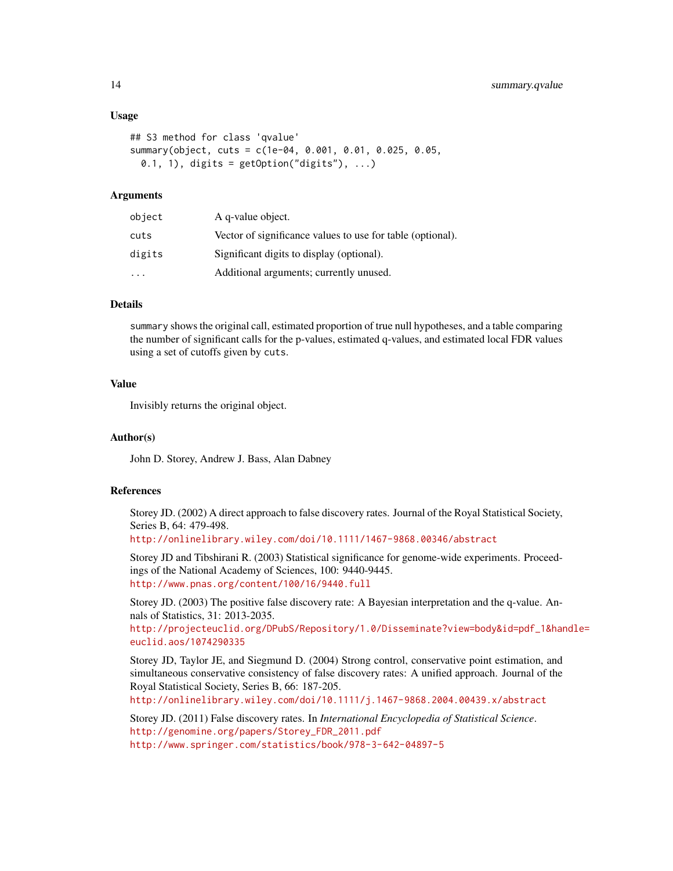#### Usage

```
## S3 method for class 'qvalue'
summary(object, cuts = c(1e-04, 0.001, 0.01, 0.025, 0.05,
 0.1, 1), digits = getOption("digits"), ...)
```
#### Arguments

| object    | A q-value object.                                          |
|-----------|------------------------------------------------------------|
| cuts      | Vector of significance values to use for table (optional). |
| digits    | Significant digits to display (optional).                  |
| $\ddotsc$ | Additional arguments; currently unused.                    |

#### Details

summary shows the original call, estimated proportion of true null hypotheses, and a table comparing the number of significant calls for the p-values, estimated q-values, and estimated local FDR values using a set of cutoffs given by cuts.

# Value

Invisibly returns the original object.

#### Author(s)

John D. Storey, Andrew J. Bass, Alan Dabney

# References

Storey JD. (2002) A direct approach to false discovery rates. Journal of the Royal Statistical Society, Series B, 64: 479-498.

<http://onlinelibrary.wiley.com/doi/10.1111/1467-9868.00346/abstract>

Storey JD and Tibshirani R. (2003) Statistical significance for genome-wide experiments. Proceedings of the National Academy of Sciences, 100: 9440-9445. <http://www.pnas.org/content/100/16/9440.full>

Storey JD. (2003) The positive false discovery rate: A Bayesian interpretation and the q-value. Annals of Statistics, 31: 2013-2035.

[http://projecteuclid.org/DPubS/Repository/1.0/Disseminate?view=body&id=pdf\\_1&han](http://projecteuclid.org/DPubS/Repository/1.0/Disseminate?view=body&id=pdf_1&handle=euclid.aos/1074290335)dle= [euclid.aos/1074290335](http://projecteuclid.org/DPubS/Repository/1.0/Disseminate?view=body&id=pdf_1&handle=euclid.aos/1074290335)

Storey JD, Taylor JE, and Siegmund D. (2004) Strong control, conservative point estimation, and simultaneous conservative consistency of false discovery rates: A unified approach. Journal of the Royal Statistical Society, Series B, 66: 187-205.

<http://onlinelibrary.wiley.com/doi/10.1111/j.1467-9868.2004.00439.x/abstract>

Storey JD. (2011) False discovery rates. In *International Encyclopedia of Statistical Science*. [http://genomine.org/papers/Storey\\_FDR\\_2011.pdf](http://genomine.org/papers/Storey_FDR_2011.pdf) <http://www.springer.com/statistics/book/978-3-642-04897-5>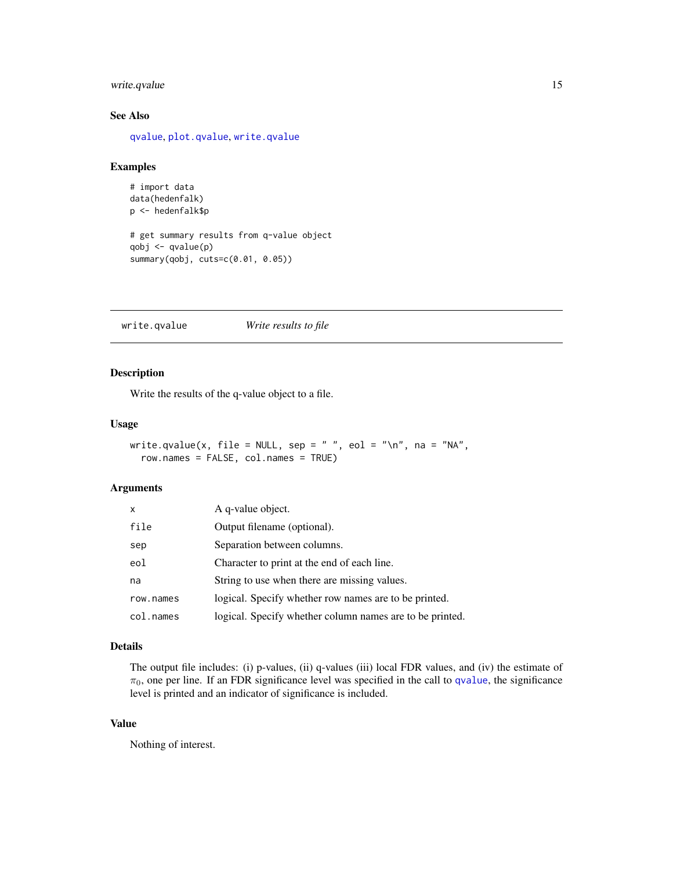# <span id="page-14-0"></span>write.qvalue 15

# See Also

[qvalue](#page-10-1), [plot.qvalue](#page-9-1), [write.qvalue](#page-14-1)

# Examples

```
# import data
data(hedenfalk)
p <- hedenfalk$p
# get summary results from q-value object
qobj <- qvalue(p)
summary(qobj, cuts=c(0.01, 0.05))
```
<span id="page-14-1"></span>write.qvalue *Write results to file*

# Description

Write the results of the q-value object to a file.

# Usage

```
write.qvalue(x, file = NULL, sep = " ", eol = "\n", na = "NA",
  row.names = FALSE, col.names = TRUE)
```
#### Arguments

| $\mathsf{x}$ | A q-value object.                                        |
|--------------|----------------------------------------------------------|
| file         | Output filename (optional).                              |
| sep          | Separation between columns.                              |
| eol          | Character to print at the end of each line.              |
| na           | String to use when there are missing values.             |
| row.names    | logical. Specify whether row names are to be printed.    |
| col.names    | logical. Specify whether column names are to be printed. |

# Details

The output file includes: (i) p-values, (ii) q-values (iii) local FDR values, and (iv) the estimate of  $\pi_0$ , one per line. If an FDR significance level was specified in the call to [qvalue](#page-10-1), the significance level is printed and an indicator of significance is included.

# Value

Nothing of interest.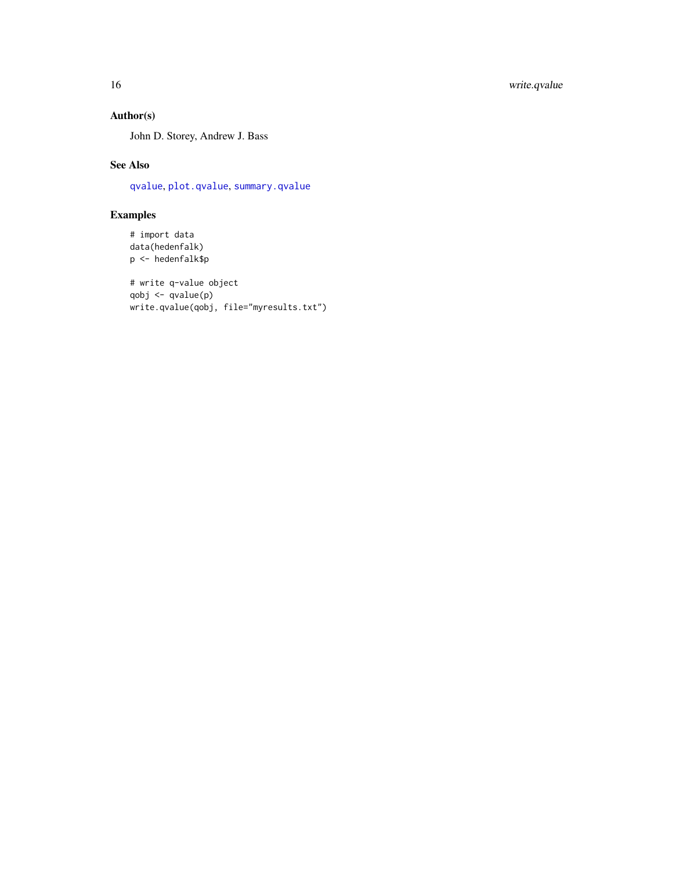# <span id="page-15-0"></span>Author(s)

John D. Storey, Andrew J. Bass

# See Also

[qvalue](#page-10-1), [plot.qvalue](#page-9-1), [summary.qvalue](#page-12-1)

# Examples

```
# import data
data(hedenfalk)
p <- hedenfalk$p
```

```
# write q-value object
qobj <- qvalue(p)
write.qvalue(qobj, file="myresults.txt")
```